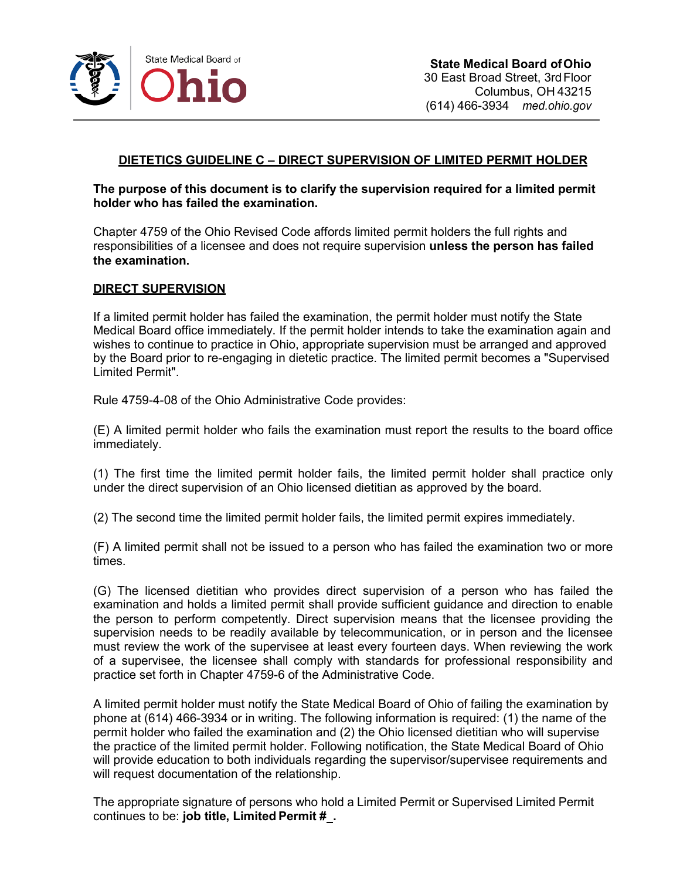

## **DIETETICS GUIDELINE C – DIRECT SUPERVISION OF LIMITED PERMIT HOLDER**

**The purpose of this document is to clarify the supervision required for a limited permit holder who has failed the examination.**

Chapter 4759 of the Ohio Revised Code affords limited permit holders the full rights and responsibilities of a licensee and does not require supervision **unless the person has failed the examination.**

## **DIRECT SUPERVISION**

If a limited permit holder has failed the examination, the permit holder must notify the State Medical Board office immediately. If the permit holder intends to take the examination again and wishes to continue to practice in Ohio, appropriate supervision must be arranged and approved by the Board prior to re-engaging in dietetic practice. The limited permit becomes a "Supervised Limited Permit".

Rule 4759-4-08 of the Ohio Administrative Code provides:

(E) A limited permit holder who fails the examination must report the results to the board office immediately.

(1) The first time the limited permit holder fails, the limited permit holder shall practice only under the direct supervision of an Ohio licensed dietitian as approved by the board.

(2) The second time the limited permit holder fails, the limited permit expires immediately.

(F) A limited permit shall not be issued to a person who has failed the examination two or more times.

(G) The licensed dietitian who provides direct supervision of a person who has failed the examination and holds a limited permit shall provide sufficient guidance and direction to enable the person to perform competently. Direct supervision means that the licensee providing the supervision needs to be readily available by telecommunication, or in person and the licensee must review the work of the supervisee at least every fourteen days. When reviewing the work of a supervisee, the licensee shall comply with standards for professional responsibility and practice set forth in Chapter 4759-6 of the Administrative Code.

A limited permit holder must notify the State Medical Board of Ohio of failing the examination by phone at (614) 466-3934 or in writing. The following information is required: (1) the name of the permit holder who failed the examination and (2) the Ohio licensed dietitian who will supervise the practice of the limited permit holder. Following notification, the State Medical Board of Ohio will provide education to both individuals regarding the supervisor/supervisee requirements and will request documentation of the relationship.

The appropriate signature of persons who hold a Limited Permit or Supervised Limited Permit continues to be: **job title, Limited Permit # .**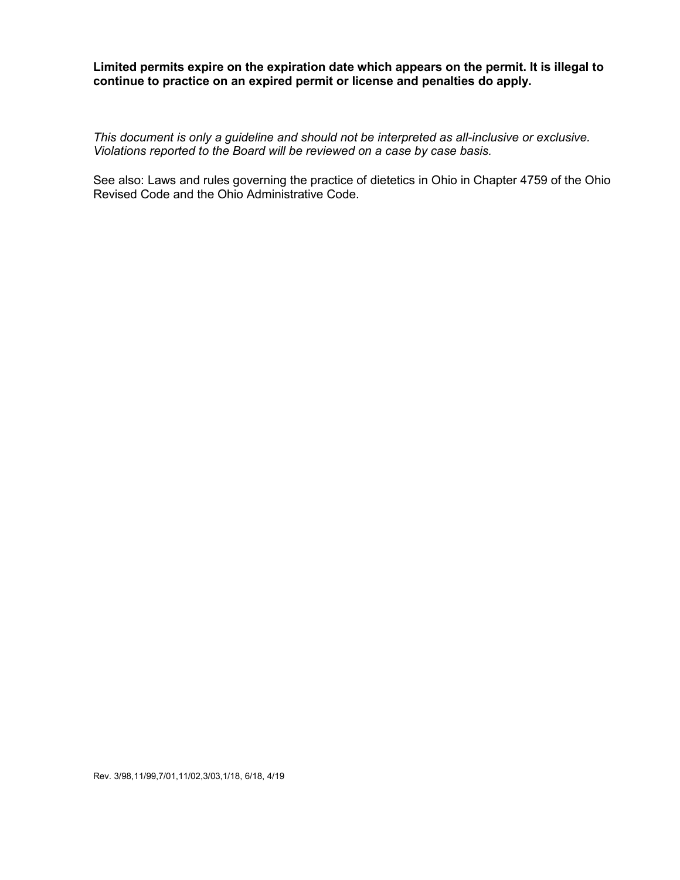**Limited permits expire on the expiration date which appears on the permit. It is illegal to continue to practice on an expired permit or license and penalties do apply.**

*This document is only a guideline and should not be interpreted as all-inclusive or exclusive. Violations reported to the Board will be reviewed on a case by case basis.*

See also: Laws and rules governing the practice of dietetics in Ohio in Chapter 4759 of the Ohio Revised Code and the Ohio Administrative Code.